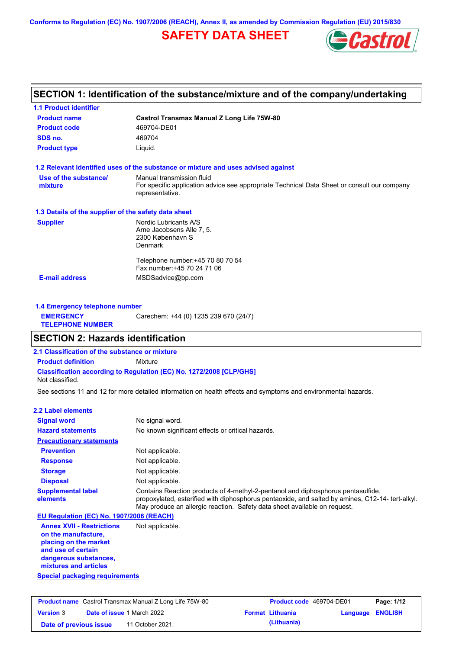**Conforms to Regulation (EC) No. 1907/2006 (REACH), Annex II, as amended by Commission Regulation (EU) 2015/830**

## **SAFETY DATA SHEET**



## **SECTION 1: Identification of the substance/mixture and of the company/undertaking**

| <b>Product name</b>                                  | <b>Castrol Transmax Manual Z Long Life 75W-80</b>                                                                                           |  |  |  |
|------------------------------------------------------|---------------------------------------------------------------------------------------------------------------------------------------------|--|--|--|
| <b>Product code</b>                                  | 469704-DE01                                                                                                                                 |  |  |  |
| SDS no.                                              | 469704                                                                                                                                      |  |  |  |
| <b>Product type</b><br>Liquid.                       |                                                                                                                                             |  |  |  |
|                                                      | 1.2 Relevant identified uses of the substance or mixture and uses advised against                                                           |  |  |  |
| Use of the substance/<br>mixture                     | Manual transmission fluid<br>For specific application advice see appropriate Technical Data Sheet or consult our company<br>representative. |  |  |  |
| 1.3 Details of the supplier of the safety data sheet |                                                                                                                                             |  |  |  |
| <b>Supplier</b>                                      | Nordic Lubricants A/S<br>Arne Jacobsens Alle 7, 5.<br>2300 København S<br>Denmark                                                           |  |  |  |
|                                                      | Telephone number: +45 70 80 70 54<br>Fax number: +45 70 24 71 06                                                                            |  |  |  |
| <b>E-mail address</b>                                | MSDSadvice@bp.com                                                                                                                           |  |  |  |

| 1.4 Emergency telephone number              |                                       |  |  |
|---------------------------------------------|---------------------------------------|--|--|
| <b>EMERGENCY</b><br><b>TELEPHONE NUMBER</b> | Carechem: +44 (0) 1235 239 670 (24/7) |  |  |

### **SECTION 2: Hazards identification**

**2.1 Classification of the substance or mixture**

**Classification according to Regulation (EC) No. 1272/2008 [CLP/GHS] Product definition** Mixture

Not classified.

See sections 11 and 12 for more detailed information on health effects and symptoms and environmental hazards.

#### **2.2 Label elements**

| <b>Signal word</b>                                                                                                                                       | No signal word.                                                                                                                                                                                                                                                   |
|----------------------------------------------------------------------------------------------------------------------------------------------------------|-------------------------------------------------------------------------------------------------------------------------------------------------------------------------------------------------------------------------------------------------------------------|
| <b>Hazard statements</b>                                                                                                                                 | No known significant effects or critical hazards.                                                                                                                                                                                                                 |
| <b>Precautionary statements</b>                                                                                                                          |                                                                                                                                                                                                                                                                   |
| <b>Prevention</b>                                                                                                                                        | Not applicable.                                                                                                                                                                                                                                                   |
| <b>Response</b>                                                                                                                                          | Not applicable.                                                                                                                                                                                                                                                   |
| <b>Storage</b>                                                                                                                                           | Not applicable.                                                                                                                                                                                                                                                   |
| <b>Disposal</b>                                                                                                                                          | Not applicable.                                                                                                                                                                                                                                                   |
| <b>Supplemental label</b><br>elements                                                                                                                    | Contains Reaction products of 4-methyl-2-pentanol and diphosphorus pentasulfide.<br>propoxylated, esterified with diphosphorus pentaoxide, and salted by amines, C12-14- tert-alkyl.<br>May produce an allergic reaction. Safety data sheet available on request. |
| EU Regulation (EC) No. 1907/2006 (REACH)                                                                                                                 |                                                                                                                                                                                                                                                                   |
| <b>Annex XVII - Restrictions</b><br>on the manufacture,<br>placing on the market<br>and use of certain<br>dangerous substances,<br>mixtures and articles | Not applicable.                                                                                                                                                                                                                                                   |

**Special packaging requirements**

| <b>Product name</b> Castrol Transmax Manual Z Long Life 75W-80 |  |                                   | Product code 469704-DE01 |                         | Page: 1/12              |  |
|----------------------------------------------------------------|--|-----------------------------------|--------------------------|-------------------------|-------------------------|--|
| <b>Version 3</b>                                               |  | <b>Date of issue 1 March 2022</b> |                          | <b>Format Lithuania</b> | <b>Language ENGLISH</b> |  |
| Date of previous issue                                         |  | 11 October 2021.                  |                          | (Lithuania)             |                         |  |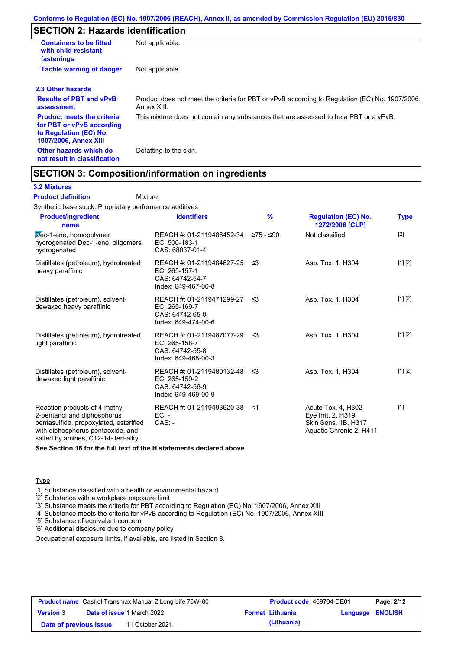## **SECTION 2: Hazards identification**

| <b>Containers to be fitted</b><br>with child-resistant<br>fastenings                                                     | Not applicable.                                                                                               |
|--------------------------------------------------------------------------------------------------------------------------|---------------------------------------------------------------------------------------------------------------|
| <b>Tactile warning of danger</b>                                                                                         | Not applicable.                                                                                               |
| 2.3 Other hazards                                                                                                        |                                                                                                               |
| <b>Results of PBT and vPvB</b><br>assessment                                                                             | Product does not meet the criteria for PBT or vPvB according to Regulation (EC) No. 1907/2006,<br>Annex XIII. |
| <b>Product meets the criteria</b><br>for PBT or vPvB according<br>to Regulation (EC) No.<br><b>1907/2006, Annex XIII</b> | This mixture does not contain any substances that are assessed to be a PBT or a vPvB.                         |
| Other hazards which do<br>not result in classification                                                                   | Defatting to the skin.                                                                                        |

### **SECTION 3: Composition/information on ingredients**

Mixture

#### **3.2 Mixtures**

#### **Product definition**

Synthetic base stock. Proprietary performance additives.

| <b>Product/ingredient</b><br>name                                                                                                                                                    | <b>Identifiers</b>                                                                      | $\frac{9}{6}$ | <b>Regulation (EC) No.</b><br>1272/2008 [CLP]                                              | <b>Type</b> |
|--------------------------------------------------------------------------------------------------------------------------------------------------------------------------------------|-----------------------------------------------------------------------------------------|---------------|--------------------------------------------------------------------------------------------|-------------|
| Dec-1-ene, homopolymer,<br>hydrogenated Dec-1-ene, oligomers,<br>hydrogenated                                                                                                        | REACH #: 01-2119486452-34 ≥75 - ≤90<br>EC: 500-183-1<br>CAS: 68037-01-4                 |               | Not classified.                                                                            | $[2]$       |
| Distillates (petroleum), hydrotreated<br>heavy paraffinic                                                                                                                            | REACH #: 01-2119484627-25 ≤3<br>EC: 265-157-1<br>CAS: 64742-54-7<br>Index: 649-467-00-8 |               | Asp. Tox. 1, H304                                                                          | [1] [2]     |
| Distillates (petroleum), solvent-<br>dewaxed heavy paraffinic                                                                                                                        | REACH #: 01-2119471299-27 ≤3<br>EC: 265-169-7<br>CAS: 64742-65-0<br>Index: 649-474-00-6 |               | Asp. Tox. 1, H304                                                                          | [1] [2]     |
| Distillates (petroleum), hydrotreated<br>light paraffinic                                                                                                                            | REACH #: 01-2119487077-29<br>EC: 265-158-7<br>CAS: 64742-55-8<br>Index: 649-468-00-3    | -≤3           | Asp. Tox. 1, H304                                                                          | [1] [2]     |
| Distillates (petroleum), solvent-<br>dewaxed light paraffinic                                                                                                                        | REACH #: 01-2119480132-48 ≤3<br>EC: 265-159-2<br>CAS: 64742-56-9<br>Index: 649-469-00-9 |               | Asp. Tox. 1, H304                                                                          | [1] [2]     |
| Reaction products of 4-methyl-<br>2-pentanol and diphosphorus<br>pentasulfide, propoxylated, esterified<br>with diphosphorus pentaoxide, and<br>salted by amines, C12-14- tert-alkyl | REACH #: 01-2119493620-38<br>$EC:$ -<br>$CAS. -$                                        | - <1          | Acute Tox. 4, H302<br>Eye Irrit. 2, H319<br>Skin Sens. 1B, H317<br>Aquatic Chronic 2, H411 | $[1]$       |

**See Section 16 for the full text of the H statements declared above.**

#### Type

[1] Substance classified with a health or environmental hazard

[2] Substance with a workplace exposure limit

[3] Substance meets the criteria for PBT according to Regulation (EC) No. 1907/2006, Annex XIII

[4] Substance meets the criteria for vPvB according to Regulation (EC) No. 1907/2006, Annex XIII

[5] Substance of equivalent concern

[6] Additional disclosure due to company policy

Occupational exposure limits, if available, are listed in Section 8.

| <b>Product name</b> Castrol Transmax Manual Z Long Life 75W-80 |  |                                   | <b>Product code</b> 469704-DE01 |                         | Page: 2/12       |  |
|----------------------------------------------------------------|--|-----------------------------------|---------------------------------|-------------------------|------------------|--|
| <b>Version 3</b>                                               |  | <b>Date of issue 1 March 2022</b> |                                 | <b>Format Lithuania</b> | Language ENGLISH |  |
| Date of previous issue                                         |  | 11 October 2021.                  |                                 | (Lithuania)             |                  |  |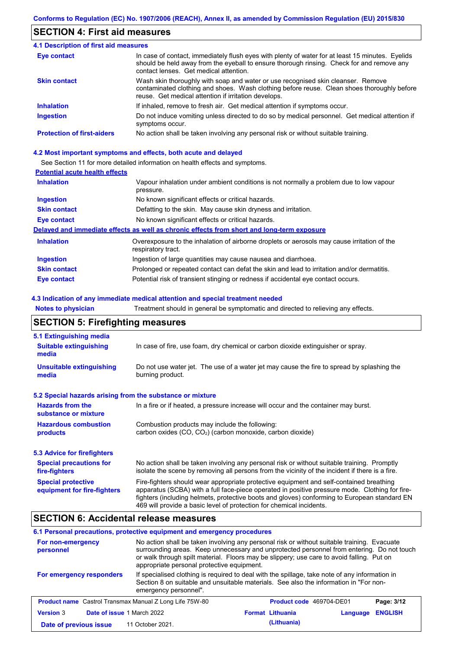### **SECTION 4: First aid measures**

| 4.1 Description of first aid measures |                                                                                                                                                                                                                                         |
|---------------------------------------|-----------------------------------------------------------------------------------------------------------------------------------------------------------------------------------------------------------------------------------------|
| Eye contact                           | In case of contact, immediately flush eyes with plenty of water for at least 15 minutes. Eyelids<br>should be held away from the eyeball to ensure thorough rinsing. Check for and remove any<br>contact lenses. Get medical attention. |
| <b>Skin contact</b>                   | Wash skin thoroughly with soap and water or use recognised skin cleanser. Remove<br>contaminated clothing and shoes. Wash clothing before reuse. Clean shoes thoroughly before<br>reuse. Get medical attention if irritation develops.  |
| <b>Inhalation</b>                     | If inhaled, remove to fresh air. Get medical attention if symptoms occur.                                                                                                                                                               |
| <b>Ingestion</b>                      | Do not induce vomiting unless directed to do so by medical personnel. Get medical attention if<br>symptoms occur.                                                                                                                       |
| <b>Protection of first-aiders</b>     | No action shall be taken involving any personal risk or without suitable training.                                                                                                                                                      |

#### **4.2 Most important symptoms and effects, both acute and delayed**

See Section 11 for more detailed information on health effects and symptoms.

### **Potential acute health effects**

| <b>Inhalation</b>   | Vapour inhalation under ambient conditions is not normally a problem due to low vapour<br>pressure.               |
|---------------------|-------------------------------------------------------------------------------------------------------------------|
| <b>Ingestion</b>    | No known significant effects or critical hazards.                                                                 |
| <b>Skin contact</b> | Defatting to the skin. May cause skin dryness and irritation.                                                     |
| Eye contact         | No known significant effects or critical hazards.                                                                 |
|                     | Delayed and immediate effects as well as chronic effects from short and long-term exposure                        |
| <b>Inhalation</b>   | Overexposure to the inhalation of airborne droplets or aerosols may cause irritation of the<br>respiratory tract. |
| <b>Ingestion</b>    | Ingestion of large quantities may cause nausea and diarrhoea.                                                     |
| <b>Skin contact</b> | Prolonged or repeated contact can defat the skin and lead to irritation and/or dermatitis.                        |
| Eye contact         | Potential risk of transient stinging or redness if accidental eye contact occurs.                                 |

#### **4.3 Indication of any immediate medical attention and special treatment needed**

**Notes to physician** Treatment should in general be symptomatic and directed to relieving any effects.

## **SECTION 5: Firefighting measures**

| 5.1 Extinguishing media                                                                                                                                    |                                                                                                                                                                                                                                                                                                                                                                   |  |  |  |
|------------------------------------------------------------------------------------------------------------------------------------------------------------|-------------------------------------------------------------------------------------------------------------------------------------------------------------------------------------------------------------------------------------------------------------------------------------------------------------------------------------------------------------------|--|--|--|
| <b>Suitable extinguishing</b><br>media                                                                                                                     | In case of fire, use foam, dry chemical or carbon dioxide extinguisher or spray.                                                                                                                                                                                                                                                                                  |  |  |  |
| <b>Unsuitable extinguishing</b><br>Do not use water jet. The use of a water jet may cause the fire to spread by splashing the<br>burning product.<br>media |                                                                                                                                                                                                                                                                                                                                                                   |  |  |  |
| 5.2 Special hazards arising from the substance or mixture                                                                                                  |                                                                                                                                                                                                                                                                                                                                                                   |  |  |  |
| <b>Hazards from the</b><br>In a fire or if heated, a pressure increase will occur and the container may burst.<br>substance or mixture                     |                                                                                                                                                                                                                                                                                                                                                                   |  |  |  |
| <b>Hazardous combustion</b><br>products                                                                                                                    | Combustion products may include the following:<br>carbon oxides (CO, CO <sub>2</sub> ) (carbon monoxide, carbon dioxide)                                                                                                                                                                                                                                          |  |  |  |
| 5.3 Advice for firefighters                                                                                                                                |                                                                                                                                                                                                                                                                                                                                                                   |  |  |  |
| <b>Special precautions for</b><br>fire-fighters                                                                                                            | No action shall be taken involving any personal risk or without suitable training. Promptly<br>isolate the scene by removing all persons from the vicinity of the incident if there is a fire.                                                                                                                                                                    |  |  |  |
| <b>Special protective</b><br>equipment for fire-fighters                                                                                                   | Fire-fighters should wear appropriate protective equipment and self-contained breathing<br>apparatus (SCBA) with a full face-piece operated in positive pressure mode. Clothing for fire-<br>fighters (including helmets, protective boots and gloves) conforming to European standard EN<br>469 will provide a basic level of protection for chemical incidents. |  |  |  |

### **SECTION 6: Accidental release measures**

### **6.1 Personal precautions, protective equipment and emergency procedures**

| For non-emergency<br>personnel                                 | No action shall be taken involving any personal risk or without suitable training. Evacuate<br>surrounding areas. Keep unnecessary and unprotected personnel from entering. Do not touch<br>or walk through spilt material. Floors may be slippery; use care to avoid falling. Put on<br>appropriate personal protective equipment. |                                 |          |                |
|----------------------------------------------------------------|-------------------------------------------------------------------------------------------------------------------------------------------------------------------------------------------------------------------------------------------------------------------------------------------------------------------------------------|---------------------------------|----------|----------------|
| For emergency responders                                       | If specialised clothing is required to deal with the spillage, take note of any information in<br>Section 8 on suitable and unsuitable materials. See also the information in "For non-<br>emergency personnel".                                                                                                                    |                                 |          |                |
| <b>Product name</b> Castrol Transmax Manual Z Long Life 75W-80 |                                                                                                                                                                                                                                                                                                                                     | <b>Product code</b> 469704-DE01 |          | Page: 3/12     |
| <b>Version 3</b><br>Date of issue 1 March 2022                 |                                                                                                                                                                                                                                                                                                                                     | <b>Format Lithuania</b>         | Language | <b>ENGLISH</b> |
| Date of previous issue                                         | 11 October 2021                                                                                                                                                                                                                                                                                                                     | (Lithuania)                     |          |                |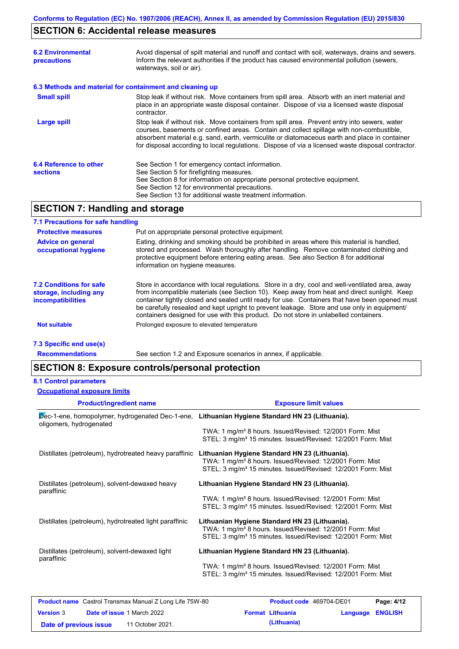## **SECTION 6: Accidental release measures**

| <b>6.2 Environmental</b><br>precautions                  | Avoid dispersal of spilt material and runoff and contact with soil, waterways, drains and sewers.<br>Inform the relevant authorities if the product has caused environmental pollution (sewers,<br>waterways, soil or air).                                                                                                                                                                    |
|----------------------------------------------------------|------------------------------------------------------------------------------------------------------------------------------------------------------------------------------------------------------------------------------------------------------------------------------------------------------------------------------------------------------------------------------------------------|
| 6.3 Methods and material for containment and cleaning up |                                                                                                                                                                                                                                                                                                                                                                                                |
| <b>Small spill</b>                                       | Stop leak if without risk. Move containers from spill area. Absorb with an inert material and<br>place in an appropriate waste disposal container. Dispose of via a licensed waste disposal<br>contractor.                                                                                                                                                                                     |
| Large spill                                              | Stop leak if without risk. Move containers from spill area. Prevent entry into sewers, water<br>courses, basements or confined areas. Contain and collect spillage with non-combustible,<br>absorbent material e.g. sand, earth, vermiculite or diatomaceous earth and place in container<br>for disposal according to local regulations. Dispose of via a licensed waste disposal contractor. |
| 6.4 Reference to other<br><b>sections</b>                | See Section 1 for emergency contact information.<br>See Section 5 for firefighting measures.<br>See Section 8 for information on appropriate personal protective equipment.<br>See Section 12 for environmental precautions.<br>See Section 13 for additional waste treatment information.                                                                                                     |

## **SECTION 7: Handling and storage**

### **7.1 Precautions for safe handling**

| <b>Protective measures</b>                                             | Put on appropriate personal protective equipment.                                                                                                                                                                                                                                                                                                                                                                                                                                        |
|------------------------------------------------------------------------|------------------------------------------------------------------------------------------------------------------------------------------------------------------------------------------------------------------------------------------------------------------------------------------------------------------------------------------------------------------------------------------------------------------------------------------------------------------------------------------|
| <b>Advice on general</b><br>occupational hygiene                       | Eating, drinking and smoking should be prohibited in areas where this material is handled,<br>stored and processed. Wash thoroughly after handling. Remove contaminated clothing and<br>protective equipment before entering eating areas. See also Section 8 for additional<br>information on hygiene measures.                                                                                                                                                                         |
| 7.2 Conditions for safe<br>storage, including any<br>incompatibilities | Store in accordance with local requiations. Store in a dry, cool and well-ventilated area, away<br>from incompatible materials (see Section 10). Keep away from heat and direct sunlight. Keep<br>container tightly closed and sealed until ready for use. Containers that have been opened must<br>be carefully resealed and kept upright to prevent leakage. Store and use only in equipment/<br>containers designed for use with this product. Do not store in unlabelled containers. |
| <b>Not suitable</b>                                                    | Prolonged exposure to elevated temperature                                                                                                                                                                                                                                                                                                                                                                                                                                               |
| 7.3 Specific end use(s)                                                |                                                                                                                                                                                                                                                                                                                                                                                                                                                                                          |

**Recommendations**

See section 1.2 and Exposure scenarios in annex, if applicable.

## **SECTION 8: Exposure controls/personal protection**

#### **8.1 Control parameters**

| <b>Product/ingredient name</b>                                                                                            | <b>Exposure limit values</b>                                                                                                                                                                       |
|---------------------------------------------------------------------------------------------------------------------------|----------------------------------------------------------------------------------------------------------------------------------------------------------------------------------------------------|
| Dec-1-ene, homopolymer, hydrogenated Dec-1-ene, Lithuanian Hygiene Standard HN 23 (Lithuania).<br>oligomers, hydrogenated |                                                                                                                                                                                                    |
|                                                                                                                           | TWA: 1 mg/m <sup>3</sup> 8 hours. Issued/Revised: 12/2001 Form: Mist<br>STEL: 3 mg/m <sup>3</sup> 15 minutes. Issued/Revised: 12/2001 Form: Mist                                                   |
| Distillates (petroleum), hydrotreated heavy paraffinic                                                                    | Lithuanian Hygiene Standard HN 23 (Lithuania).<br>TWA: 1 mg/m <sup>3</sup> 8 hours. Issued/Revised: 12/2001 Form: Mist<br>STEL: 3 mg/m <sup>3</sup> 15 minutes. Issued/Revised: 12/2001 Form: Mist |
| Distillates (petroleum), solvent-dewaxed heavy<br>paraffinic                                                              | Lithuanian Hygiene Standard HN 23 (Lithuania).                                                                                                                                                     |
|                                                                                                                           | TWA: 1 mg/m <sup>3</sup> 8 hours. Issued/Revised: 12/2001 Form: Mist<br>STEL: 3 mg/m <sup>3</sup> 15 minutes. Issued/Revised: 12/2001 Form: Mist                                                   |
| Distillates (petroleum), hydrotreated light paraffinic                                                                    | Lithuanian Hygiene Standard HN 23 (Lithuania).<br>TWA: 1 mg/m <sup>3</sup> 8 hours. Issued/Revised: 12/2001 Form: Mist<br>STEL: 3 mg/m <sup>3</sup> 15 minutes. Issued/Revised: 12/2001 Form: Mist |
| Distillates (petroleum), solvent-dewaxed light<br>paraffinic                                                              | Lithuanian Hygiene Standard HN 23 (Lithuania).                                                                                                                                                     |
|                                                                                                                           | TWA: 1 mg/m <sup>3</sup> 8 hours. Issued/Revised: 12/2001 Form: Mist<br>STEL: 3 mg/m <sup>3</sup> 15 minutes. Issued/Revised: 12/2001 Form: Mist                                                   |
|                                                                                                                           |                                                                                                                                                                                                    |

| <b>Product name</b> Castrol Transmax Manual Z Long Life 75W-80 |  | <b>Product code</b> 469704-DE01   | Page: 4/12 |                         |                  |  |
|----------------------------------------------------------------|--|-----------------------------------|------------|-------------------------|------------------|--|
| <b>Version</b> 3                                               |  | <b>Date of issue 1 March 2022</b> |            | <b>Format Lithuania</b> | Language ENGLISH |  |
| Date of previous issue                                         |  | 11 October 2021.                  |            | (Lithuania)             |                  |  |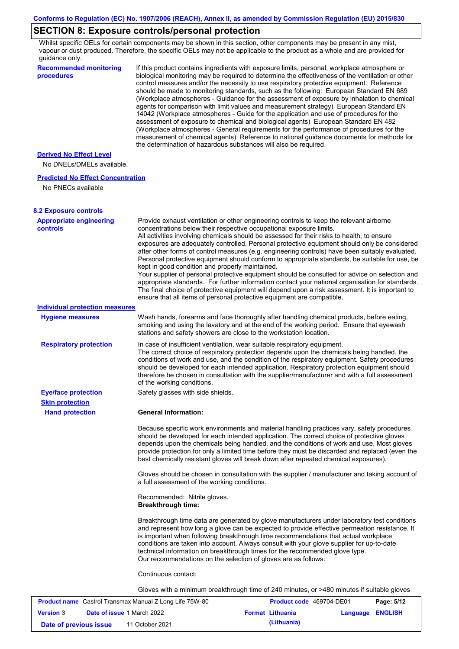## **SECTION 8: Exposure controls/personal protection**

Whilst specific OELs for certain components may be shown in this section, other components may be present in any mist, vapour or dust produced. Therefore, the specific OELs may not be applicable to the product as a whole and are provided for guidance only.

| <b>Recommended monitoring</b><br>procedures                    | If this product contains ingredients with exposure limits, personal, workplace atmosphere or<br>biological monitoring may be required to determine the effectiveness of the ventilation or other<br>control measures and/or the necessity to use respiratory protective equipment. Reference<br>should be made to monitoring standards, such as the following: European Standard EN 689<br>(Workplace atmospheres - Guidance for the assessment of exposure by inhalation to chemical<br>agents for comparison with limit values and measurement strategy) European Standard EN<br>14042 (Workplace atmospheres - Guide for the application and use of procedures for the<br>assessment of exposure to chemical and biological agents) European Standard EN 482<br>(Workplace atmospheres - General requirements for the performance of procedures for the<br>measurement of chemical agents) Reference to national guidance documents for methods for                                                  |
|----------------------------------------------------------------|---------------------------------------------------------------------------------------------------------------------------------------------------------------------------------------------------------------------------------------------------------------------------------------------------------------------------------------------------------------------------------------------------------------------------------------------------------------------------------------------------------------------------------------------------------------------------------------------------------------------------------------------------------------------------------------------------------------------------------------------------------------------------------------------------------------------------------------------------------------------------------------------------------------------------------------------------------------------------------------------------------|
| <b>Derived No Effect Level</b><br>No DNELs/DMELs available.    | the determination of hazardous substances will also be required.                                                                                                                                                                                                                                                                                                                                                                                                                                                                                                                                                                                                                                                                                                                                                                                                                                                                                                                                        |
| <b>Predicted No Effect Concentration</b><br>No PNECs available |                                                                                                                                                                                                                                                                                                                                                                                                                                                                                                                                                                                                                                                                                                                                                                                                                                                                                                                                                                                                         |
| <b>8.2 Exposure controls</b>                                   |                                                                                                                                                                                                                                                                                                                                                                                                                                                                                                                                                                                                                                                                                                                                                                                                                                                                                                                                                                                                         |
| <b>Appropriate engineering</b><br>controls                     | Provide exhaust ventilation or other engineering controls to keep the relevant airborne<br>concentrations below their respective occupational exposure limits.<br>All activities involving chemicals should be assessed for their risks to health, to ensure<br>exposures are adequately controlled. Personal protective equipment should only be considered<br>after other forms of control measures (e.g. engineering controls) have been suitably evaluated.<br>Personal protective equipment should conform to appropriate standards, be suitable for use, be<br>kept in good condition and properly maintained.<br>Your supplier of personal protective equipment should be consulted for advice on selection and<br>appropriate standards. For further information contact your national organisation for standards.<br>The final choice of protective equipment will depend upon a risk assessment. It is important to<br>ensure that all items of personal protective equipment are compatible. |
| <b>Individual protection measures</b>                          |                                                                                                                                                                                                                                                                                                                                                                                                                                                                                                                                                                                                                                                                                                                                                                                                                                                                                                                                                                                                         |
| <b>Hygiene measures</b>                                        | Wash hands, forearms and face thoroughly after handling chemical products, before eating,<br>smoking and using the lavatory and at the end of the working period. Ensure that eyewash<br>stations and safety showers are close to the workstation location.                                                                                                                                                                                                                                                                                                                                                                                                                                                                                                                                                                                                                                                                                                                                             |
| <b>Respiratory protection</b>                                  | In case of insufficient ventilation, wear suitable respiratory equipment.<br>The correct choice of respiratory protection depends upon the chemicals being handled, the<br>conditions of work and use, and the condition of the respiratory equipment. Safety procedures<br>should be developed for each intended application. Respiratory protection equipment should<br>therefore be chosen in consultation with the supplier/manufacturer and with a full assessment<br>of the working conditions.                                                                                                                                                                                                                                                                                                                                                                                                                                                                                                   |
| <b>Eye/face protection</b>                                     | Safety glasses with side shields.                                                                                                                                                                                                                                                                                                                                                                                                                                                                                                                                                                                                                                                                                                                                                                                                                                                                                                                                                                       |
| <b>Skin protection</b><br><b>Hand protection</b>               | <b>General Information:</b>                                                                                                                                                                                                                                                                                                                                                                                                                                                                                                                                                                                                                                                                                                                                                                                                                                                                                                                                                                             |
|                                                                | Because specific work environments and material handling practices vary, safety procedures<br>should be developed for each intended application. The correct choice of protective gloves<br>depends upon the chemicals being handled, and the conditions of work and use. Most gloves<br>provide protection for only a limited time before they must be discarded and replaced (even the<br>best chemically resistant gloves will break down after repeated chemical exposures).                                                                                                                                                                                                                                                                                                                                                                                                                                                                                                                        |
|                                                                | Gloves should be chosen in consultation with the supplier / manufacturer and taking account of<br>a full assessment of the working conditions.                                                                                                                                                                                                                                                                                                                                                                                                                                                                                                                                                                                                                                                                                                                                                                                                                                                          |
|                                                                | Recommended: Nitrile gloves.<br><b>Breakthrough time:</b>                                                                                                                                                                                                                                                                                                                                                                                                                                                                                                                                                                                                                                                                                                                                                                                                                                                                                                                                               |
|                                                                | Breakthrough time data are generated by glove manufacturers under laboratory test conditions<br>and represent how long a glove can be expected to provide effective permeation resistance. It<br>is important when following breakthrough time recommendations that actual workplace<br>conditions are taken into account. Always consult with your glove supplier for up-to-date<br>technical information on breakthrough times for the recommended glove type.<br>Our recommendations on the selection of gloves are as follows:                                                                                                                                                                                                                                                                                                                                                                                                                                                                      |
|                                                                | Continuous contact:                                                                                                                                                                                                                                                                                                                                                                                                                                                                                                                                                                                                                                                                                                                                                                                                                                                                                                                                                                                     |
|                                                                | Gloves with a minimum breakthrough time of 240 minutes, or >480 minutes if suitable gloves                                                                                                                                                                                                                                                                                                                                                                                                                                                                                                                                                                                                                                                                                                                                                                                                                                                                                                              |
|                                                                |                                                                                                                                                                                                                                                                                                                                                                                                                                                                                                                                                                                                                                                                                                                                                                                                                                                                                                                                                                                                         |

|                        | <b>Product name</b> Castrol Transmax Manual Z Long Life 75W-80 | <b>Product code</b> 469704-DE01 |                  | Page: 5/12 |
|------------------------|----------------------------------------------------------------|---------------------------------|------------------|------------|
| <b>Version 3</b>       | <b>Date of issue 1 March 2022</b>                              | <b>Format Lithuania</b>         | Language ENGLISH |            |
| Date of previous issue | 11 October 2021.                                               | (Lithuania)                     |                  |            |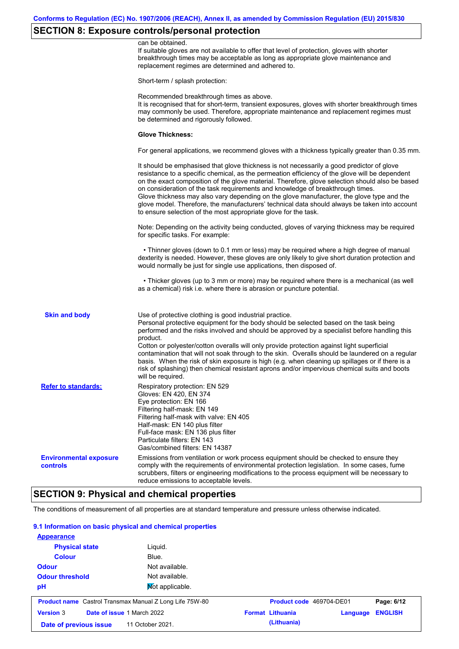## **SECTION 8: Exposure controls/personal protection**

|                                           | can be obtained.<br>If suitable gloves are not available to offer that level of protection, gloves with shorter<br>breakthrough times may be acceptable as long as appropriate glove maintenance and<br>replacement regimes are determined and adhered to.                                                                                                                                                                                                                                                                                                                                                                                        |
|-------------------------------------------|---------------------------------------------------------------------------------------------------------------------------------------------------------------------------------------------------------------------------------------------------------------------------------------------------------------------------------------------------------------------------------------------------------------------------------------------------------------------------------------------------------------------------------------------------------------------------------------------------------------------------------------------------|
|                                           | Short-term / splash protection:                                                                                                                                                                                                                                                                                                                                                                                                                                                                                                                                                                                                                   |
|                                           | Recommended breakthrough times as above.<br>It is recognised that for short-term, transient exposures, gloves with shorter breakthrough times<br>may commonly be used. Therefore, appropriate maintenance and replacement regimes must<br>be determined and rigorously followed.                                                                                                                                                                                                                                                                                                                                                                  |
|                                           | <b>Glove Thickness:</b>                                                                                                                                                                                                                                                                                                                                                                                                                                                                                                                                                                                                                           |
|                                           | For general applications, we recommend gloves with a thickness typically greater than 0.35 mm.                                                                                                                                                                                                                                                                                                                                                                                                                                                                                                                                                    |
|                                           | It should be emphasised that glove thickness is not necessarily a good predictor of glove<br>resistance to a specific chemical, as the permeation efficiency of the glove will be dependent<br>on the exact composition of the glove material. Therefore, glove selection should also be based<br>on consideration of the task requirements and knowledge of breakthrough times.<br>Glove thickness may also vary depending on the glove manufacturer, the glove type and the<br>glove model. Therefore, the manufacturers' technical data should always be taken into account<br>to ensure selection of the most appropriate glove for the task. |
|                                           | Note: Depending on the activity being conducted, gloves of varying thickness may be required<br>for specific tasks. For example:                                                                                                                                                                                                                                                                                                                                                                                                                                                                                                                  |
|                                           | • Thinner gloves (down to 0.1 mm or less) may be required where a high degree of manual<br>dexterity is needed. However, these gloves are only likely to give short duration protection and<br>would normally be just for single use applications, then disposed of.                                                                                                                                                                                                                                                                                                                                                                              |
|                                           | • Thicker gloves (up to 3 mm or more) may be required where there is a mechanical (as well<br>as a chemical) risk i.e. where there is abrasion or puncture potential.                                                                                                                                                                                                                                                                                                                                                                                                                                                                             |
| <b>Skin and body</b>                      | Use of protective clothing is good industrial practice.<br>Personal protective equipment for the body should be selected based on the task being<br>performed and the risks involved and should be approved by a specialist before handling this<br>product.                                                                                                                                                                                                                                                                                                                                                                                      |
|                                           | Cotton or polyester/cotton overalls will only provide protection against light superficial<br>contamination that will not soak through to the skin. Overalls should be laundered on a regular<br>basis. When the risk of skin exposure is high (e.g. when cleaning up spillages or if there is a<br>risk of splashing) then chemical resistant aprons and/or impervious chemical suits and boots<br>will be required.                                                                                                                                                                                                                             |
| <b>Refer to standards:</b>                | Respiratory protection: EN 529<br>Gloves: EN 420, EN 374<br>Eye protection: EN 166<br>Filtering half-mask: EN 149<br>Filtering half-mask with valve: EN 405<br>Half-mask: EN 140 plus filter<br>Full-face mask: EN 136 plus filter<br>Particulate filters: EN 143<br>Gas/combined filters: EN 14387                                                                                                                                                                                                                                                                                                                                               |
| <b>Environmental exposure</b><br>controls | Emissions from ventilation or work process equipment should be checked to ensure they<br>comply with the requirements of environmental protection legislation. In some cases, fume<br>scrubbers, filters or engineering modifications to the process equipment will be necessary to<br>reduce emissions to acceptable levels.                                                                                                                                                                                                                                                                                                                     |
|                                           |                                                                                                                                                                                                                                                                                                                                                                                                                                                                                                                                                                                                                                                   |

## **SECTION 9: Physical and chemical properties**

The conditions of measurement of all properties are at standard temperature and pressure unless otherwise indicated.

### **9.1 Information on basic physical and chemical properties**

| <b>Appearance</b>                                              |                  |                          |          |                |
|----------------------------------------------------------------|------------------|--------------------------|----------|----------------|
| <b>Physical state</b>                                          | Liquid.          |                          |          |                |
| <b>Colour</b>                                                  | Blue.            |                          |          |                |
| <b>Odour</b>                                                   | Not available.   |                          |          |                |
| <b>Odour threshold</b>                                         | Not available.   |                          |          |                |
| pH                                                             | Not applicable.  |                          |          |                |
| <b>Product name</b> Castrol Transmax Manual Z Long Life 75W-80 |                  | Product code 469704-DE01 |          | Page: 6/12     |
| <b>Version 3</b><br>Date of issue 1 March 2022                 |                  | <b>Format Lithuania</b>  | Language | <b>ENGLISH</b> |
| Date of previous issue                                         | 11 October 2021. | (Lithuania)              |          |                |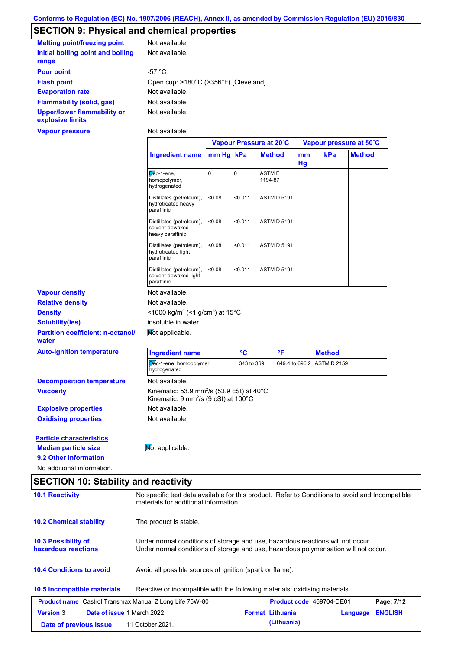# **SECTION 9: Physical and chemical properties**

| <b>Melting point/freezing point</b>                    | Not available.                        |
|--------------------------------------------------------|---------------------------------------|
| Initial boiling point and boiling<br>range             | Not available.                        |
| <b>Pour point</b>                                      | -57 $^{\circ}$ C                      |
| <b>Flash point</b>                                     | Open cup: >180°C (>356°F) [Cleveland] |
| <b>Evaporation rate</b>                                | Not available.                        |
| <b>Flammability (solid, gas)</b>                       | Not available.                        |
| <b>Upper/lower flammability or</b><br>explosive limits | Not available.                        |
| Vapour pressure                                        | Not available.                        |

|                                                   |                                                                                                                           | Vapour Pressure at 20°C |            |                              | Vapour pressure at 50°C |                            |               |
|---------------------------------------------------|---------------------------------------------------------------------------------------------------------------------------|-------------------------|------------|------------------------------|-------------------------|----------------------------|---------------|
|                                                   | Ingredient name mm Hg kPa                                                                                                 |                         |            | <b>Method</b>                | mm<br>Hg                | kPa                        | <b>Method</b> |
|                                                   | Dec-1-ene,<br>homopolymer,<br>hydrogenated                                                                                | $\mathbf 0$             | $\Omega$   | ASTM <sub>E</sub><br>1194-87 |                         |                            |               |
|                                                   | Distillates (petroleum),<br>hydrotreated heavy<br>paraffinic                                                              | < 0.08                  | < 0.011    | <b>ASTM D 5191</b>           |                         |                            |               |
|                                                   | Distillates (petroleum),<br>solvent-dewaxed<br>heavy paraffinic                                                           | < 0.08                  | 50.011     | <b>ASTM D 5191</b>           |                         |                            |               |
|                                                   | Distillates (petroleum),<br>hydrotreated light<br>paraffinic                                                              | < 0.08                  | < 0.011    | <b>ASTM D 5191</b>           |                         |                            |               |
|                                                   | Distillates (petroleum),<br>solvent-dewaxed light<br>paraffinic                                                           | < 0.08                  | < 0.011    | <b>ASTM D 5191</b>           |                         |                            |               |
| <b>Vapour density</b>                             | Not available.                                                                                                            |                         |            |                              |                         |                            |               |
| <b>Relative density</b>                           | Not available.                                                                                                            |                         |            |                              |                         |                            |               |
| <b>Density</b>                                    | <1000 kg/m <sup>3</sup> (<1 g/cm <sup>3</sup> ) at 15 <sup>°</sup> C                                                      |                         |            |                              |                         |                            |               |
| <b>Solubility(ies)</b>                            | insoluble in water.                                                                                                       |                         |            |                              |                         |                            |               |
| <b>Partition coefficient: n-octanol/</b><br>water | Mot applicable.                                                                                                           |                         |            |                              |                         |                            |               |
| <b>Auto-ignition temperature</b>                  | <b>Ingredient name</b>                                                                                                    |                         | °C         | °F                           |                         | <b>Method</b>              |               |
|                                                   | Dec-1-ene, homopolymer,<br>hydrogenated                                                                                   |                         | 343 to 369 |                              |                         | 649.4 to 696.2 ASTM D 2159 |               |
| <b>Decomposition temperature</b>                  | Not available.                                                                                                            |                         |            |                              |                         |                            |               |
| <b>Viscosity</b>                                  | Kinematic: 53.9 mm <sup>2</sup> /s (53.9 cSt) at 40°C<br>Kinematic: $9 \text{ mm}^2\text{/s}$ (9 cSt) at 100 $^{\circ}$ C |                         |            |                              |                         |                            |               |
| <b>Explosive properties</b>                       | Not available.                                                                                                            |                         |            |                              |                         |                            |               |
| <b>Oxidising properties</b>                       | Not available.                                                                                                            |                         |            |                              |                         |                            |               |
| <b>Particle characteristics</b>                   |                                                                                                                           |                         |            |                              |                         |                            |               |
| <b>Median particle size</b>                       | Mot applicable.                                                                                                           |                         |            |                              |                         |                            |               |
| 9.2 Other information                             |                                                                                                                           |                         |            |                              |                         |                            |               |
| No additional information.                        |                                                                                                                           |                         |            |                              |                         |                            |               |

## **SECTION 10: Stability and reactivity**

| <b>10.1 Reactivity</b>                                                                      | No specific test data available for this product. Refer to Conditions to avoid and Incompatible<br>materials for additional information.                                |  |                          |          |                |  |  |
|---------------------------------------------------------------------------------------------|-------------------------------------------------------------------------------------------------------------------------------------------------------------------------|--|--------------------------|----------|----------------|--|--|
| <b>10.2 Chemical stability</b>                                                              | The product is stable.                                                                                                                                                  |  |                          |          |                |  |  |
| <b>10.3 Possibility of</b><br>hazardous reactions                                           | Under normal conditions of storage and use, hazardous reactions will not occur.<br>Under normal conditions of storage and use, hazardous polymerisation will not occur. |  |                          |          |                |  |  |
| <b>10.4 Conditions to avoid</b><br>Avoid all possible sources of ignition (spark or flame). |                                                                                                                                                                         |  |                          |          |                |  |  |
| <b>10.5 Incompatible materials</b>                                                          | Reactive or incompatible with the following materials: oxidising materials.                                                                                             |  |                          |          |                |  |  |
| <b>Product name</b> Castrol Transmax Manual Z Long Life 75W-80                              |                                                                                                                                                                         |  | Product code 469704-DE01 |          | Page: 7/12     |  |  |
| Date of issue 1 March 2022<br><b>Version 3</b>                                              |                                                                                                                                                                         |  | <b>Format Lithuania</b>  | Language | <b>ENGLISH</b> |  |  |
| Date of previous issue                                                                      | 11 October 2021.                                                                                                                                                        |  | (Lithuania)              |          |                |  |  |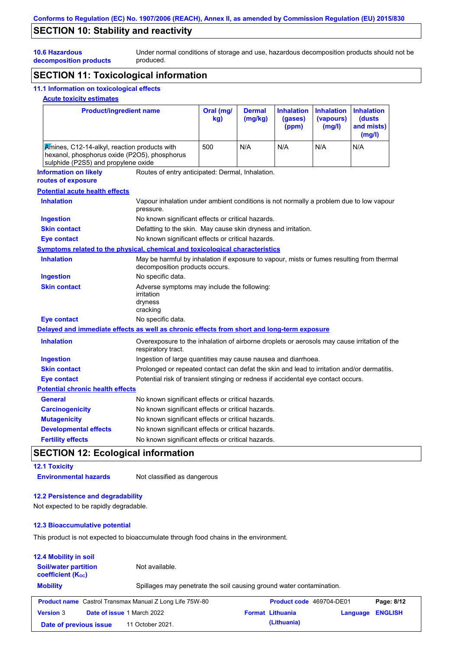## **SECTION 10: Stability and reactivity**

Under normal conditions of storage and use, hazardous decomposition products should not be produced.

**decomposition products**

# **SECTION 11: Toxicological information**

## **11.1 Information on toxicological effects**

### **Acute toxicity estimates**

**10.6 Hazardous** 

| <b>Product/ingredient name</b>                                                                                                      |                                                                                                                   | Oral (mg/<br>kg)                                                                                                            | <b>Dermal</b><br>(mg/kg) | <b>Inhalation</b><br>(gases)<br>(ppm) | <b>Inhalation</b><br>(vapours)<br>(mg/l) | <b>Inhalation</b><br>(dusts<br>and mists)<br>(mg/l) |  |  |
|-------------------------------------------------------------------------------------------------------------------------------------|-------------------------------------------------------------------------------------------------------------------|-----------------------------------------------------------------------------------------------------------------------------|--------------------------|---------------------------------------|------------------------------------------|-----------------------------------------------------|--|--|
| Kmines, C12-14-alkyl, reaction products with<br>hexanol, phosphorus oxide (P2O5), phosphorus<br>sulphide (P2S5) and propylene oxide |                                                                                                                   | 500                                                                                                                         | N/A                      | N/A                                   | N/A                                      | N/A                                                 |  |  |
| <b>Information on likely</b><br>routes of exposure                                                                                  | Routes of entry anticipated: Dermal, Inhalation.                                                                  |                                                                                                                             |                          |                                       |                                          |                                                     |  |  |
| <b>Potential acute health effects</b>                                                                                               |                                                                                                                   |                                                                                                                             |                          |                                       |                                          |                                                     |  |  |
| <b>Inhalation</b>                                                                                                                   | pressure.                                                                                                         | Vapour inhalation under ambient conditions is not normally a problem due to low vapour                                      |                          |                                       |                                          |                                                     |  |  |
| <b>Ingestion</b>                                                                                                                    | No known significant effects or critical hazards.                                                                 |                                                                                                                             |                          |                                       |                                          |                                                     |  |  |
| <b>Skin contact</b>                                                                                                                 | Defatting to the skin. May cause skin dryness and irritation.                                                     |                                                                                                                             |                          |                                       |                                          |                                                     |  |  |
| <b>Eye contact</b>                                                                                                                  | No known significant effects or critical hazards.                                                                 |                                                                                                                             |                          |                                       |                                          |                                                     |  |  |
| <b>Symptoms related to the physical, chemical and toxicological characteristics</b>                                                 |                                                                                                                   |                                                                                                                             |                          |                                       |                                          |                                                     |  |  |
| <b>Inhalation</b>                                                                                                                   |                                                                                                                   | May be harmful by inhalation if exposure to vapour, mists or fumes resulting from thermal<br>decomposition products occurs. |                          |                                       |                                          |                                                     |  |  |
| <b>Ingestion</b>                                                                                                                    | No specific data.                                                                                                 |                                                                                                                             |                          |                                       |                                          |                                                     |  |  |
| <b>Skin contact</b>                                                                                                                 | irritation<br>dryness<br>cracking                                                                                 | Adverse symptoms may include the following:                                                                                 |                          |                                       |                                          |                                                     |  |  |
| <b>Eye contact</b>                                                                                                                  | No specific data.                                                                                                 |                                                                                                                             |                          |                                       |                                          |                                                     |  |  |
| Delayed and immediate effects as well as chronic effects from short and long-term exposure                                          |                                                                                                                   |                                                                                                                             |                          |                                       |                                          |                                                     |  |  |
| <b>Inhalation</b>                                                                                                                   | Overexposure to the inhalation of airborne droplets or aerosols may cause irritation of the<br>respiratory tract. |                                                                                                                             |                          |                                       |                                          |                                                     |  |  |
| <b>Ingestion</b>                                                                                                                    |                                                                                                                   | Ingestion of large quantities may cause nausea and diarrhoea.                                                               |                          |                                       |                                          |                                                     |  |  |
| <b>Skin contact</b>                                                                                                                 | Prolonged or repeated contact can defat the skin and lead to irritation and/or dermatitis.                        |                                                                                                                             |                          |                                       |                                          |                                                     |  |  |
| <b>Eye contact</b>                                                                                                                  | Potential risk of transient stinging or redness if accidental eye contact occurs.                                 |                                                                                                                             |                          |                                       |                                          |                                                     |  |  |
| <b>Potential chronic health effects</b>                                                                                             |                                                                                                                   |                                                                                                                             |                          |                                       |                                          |                                                     |  |  |
| General                                                                                                                             | No known significant effects or critical hazards.                                                                 |                                                                                                                             |                          |                                       |                                          |                                                     |  |  |
| <b>Carcinogenicity</b>                                                                                                              | No known significant effects or critical hazards.                                                                 |                                                                                                                             |                          |                                       |                                          |                                                     |  |  |
| <b>Mutagenicity</b>                                                                                                                 | No known significant effects or critical hazards.                                                                 |                                                                                                                             |                          |                                       |                                          |                                                     |  |  |
| <b>Developmental effects</b>                                                                                                        | No known significant effects or critical hazards.                                                                 |                                                                                                                             |                          |                                       |                                          |                                                     |  |  |
| <b>Fertility effects</b>                                                                                                            | No known significant effects or critical hazards.                                                                 |                                                                                                                             |                          |                                       |                                          |                                                     |  |  |

# **SECTION 12: Ecological information**

### **12.1 Toxicity**

**Environmental hazards** Not classified as dangerous

### **12.2 Persistence and degradability**

Not expected to be rapidly degradable.

#### **12.3 Bioaccumulative potential**

This product is not expected to bioaccumulate through food chains in the environment.

| <b>12.4 Mobility in soil</b>                                            |                            |                                                                      |                          |          |                |
|-------------------------------------------------------------------------|----------------------------|----------------------------------------------------------------------|--------------------------|----------|----------------|
| <b>Soil/water partition</b><br>Not available.<br>coefficient $(K_{oc})$ |                            |                                                                      |                          |          |                |
| <b>Mobility</b>                                                         |                            | Spillages may penetrate the soil causing ground water contamination. |                          |          |                |
|                                                                         |                            |                                                                      |                          |          |                |
|                                                                         |                            | <b>Product name</b> Castrol Transmax Manual Z Long Life 75W-80       | Product code 469704-DE01 |          | Page: 8/12     |
| <b>Version 3</b>                                                        | Date of issue 1 March 2022 |                                                                      | <b>Format Lithuania</b>  | Language | <b>ENGLISH</b> |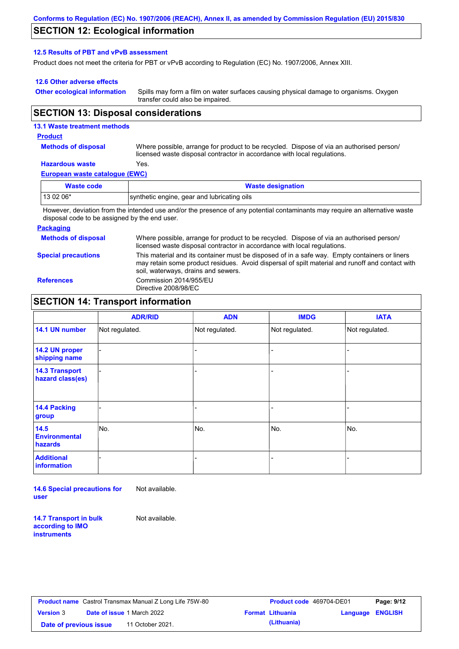### **SECTION 12: Ecological information**

#### **12.5 Results of PBT and vPvB assessment**

Product does not meet the criteria for PBT or vPvB according to Regulation (EC) No. 1907/2006, Annex XIII.

#### **12.6 Other adverse effects**

**Other ecological information**

Spills may form a film on water surfaces causing physical damage to organisms. Oxygen transfer could also be impaired.

### **SECTION 13: Disposal considerations**

#### **13.1 Waste treatment methods**

#### **Product**

**Methods of disposal**

Where possible, arrange for product to be recycled. Dispose of via an authorised person/ licensed waste disposal contractor in accordance with local regulations.

## **Hazardous waste** Yes.

**European waste catalogue (EWC)**

| Waste code | <b>Waste designation</b>                                                                                                    |
|------------|-----------------------------------------------------------------------------------------------------------------------------|
| 13 02 06*  | synthetic engine, gear and lubricating oils                                                                                 |
|            | However, deviation from the intended use and/or the presence of any potential contaminants may require an alternative waste |

disposal code to be assigned by the end user.

#### **Packaging**

**Methods of disposal Special precautions** Where possible, arrange for product to be recycled. Dispose of via an authorised person/ licensed waste disposal contractor in accordance with local regulations. This material and its container must be disposed of in a safe way. Empty containers or liners may retain some product residues. Avoid dispersal of spilt material and runoff and contact with soil, waterways, drains and sewers. **References** Commission 2014/955/EU Directive 2008/98/EC

### **SECTION 14: Transport information**

|                                           | <b>ADR/RID</b> | <b>ADN</b>     | <b>IMDG</b>    | <b>IATA</b>    |
|-------------------------------------------|----------------|----------------|----------------|----------------|
| 14.1 UN number                            | Not regulated. | Not regulated. | Not regulated. | Not regulated. |
| 14.2 UN proper<br>shipping name           |                |                |                |                |
| <b>14.3 Transport</b><br>hazard class(es) |                |                | -              |                |
| 14.4 Packing<br>group                     |                |                | -              |                |
| 14.5<br><b>Environmental</b><br>hazards   | No.            | No.            | No.            | No.            |
| <b>Additional</b><br><b>information</b>   |                |                | -              |                |

**14.6 Special precautions for user** Not available.

**14.7 Transport in bulk according to IMO instruments**

Not available.

|                        | <b>Product name</b> Castrol Transmax Manual Z Long Life 75W-80 | <b>Product code</b> 469704-DE01 |                  | Page: 9/12 |
|------------------------|----------------------------------------------------------------|---------------------------------|------------------|------------|
| <b>Version</b> 3       | <b>Date of issue 1 March 2022</b>                              | <b>Format Lithuania</b>         | Language ENGLISH |            |
| Date of previous issue | 11 October 2021.                                               | (Lithuania)                     |                  |            |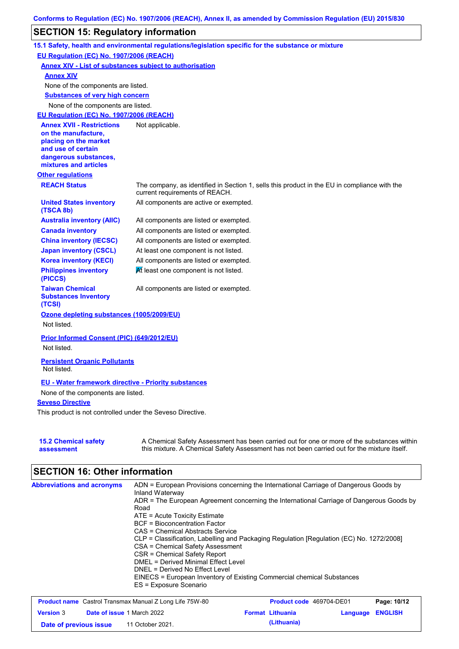## **SECTION 15: Regulatory information**

|                                                                 | 15.1 Safety, health and environmental regulations/legislation specific for the substance or mixture                                                                                       |
|-----------------------------------------------------------------|-------------------------------------------------------------------------------------------------------------------------------------------------------------------------------------------|
| EU Regulation (EC) No. 1907/2006 (REACH)                        |                                                                                                                                                                                           |
| <b>Annex XIV - List of substances subject to authorisation</b>  |                                                                                                                                                                                           |
| <b>Annex XIV</b>                                                |                                                                                                                                                                                           |
| None of the components are listed.                              |                                                                                                                                                                                           |
| <b>Substances of very high concern</b>                          |                                                                                                                                                                                           |
| None of the components are listed.                              |                                                                                                                                                                                           |
| EU Regulation (EC) No. 1907/2006 (REACH)                        |                                                                                                                                                                                           |
| <b>Annex XVII - Restrictions</b>                                | Not applicable.                                                                                                                                                                           |
| on the manufacture,                                             |                                                                                                                                                                                           |
| placing on the market<br>and use of certain                     |                                                                                                                                                                                           |
| dangerous substances,                                           |                                                                                                                                                                                           |
| mixtures and articles                                           |                                                                                                                                                                                           |
| <b>Other regulations</b>                                        |                                                                                                                                                                                           |
| <b>REACH Status</b>                                             | The company, as identified in Section 1, sells this product in the EU in compliance with the<br>current requirements of REACH.                                                            |
| <b>United States inventory</b><br>(TSCA 8b)                     | All components are active or exempted.                                                                                                                                                    |
| <b>Australia inventory (AIIC)</b>                               | All components are listed or exempted.                                                                                                                                                    |
| <b>Canada inventory</b>                                         | All components are listed or exempted.                                                                                                                                                    |
| <b>China inventory (IECSC)</b>                                  | All components are listed or exempted.                                                                                                                                                    |
| <b>Japan inventory (CSCL)</b>                                   | At least one component is not listed.                                                                                                                                                     |
| <b>Korea inventory (KECI)</b>                                   | All components are listed or exempted.                                                                                                                                                    |
| <b>Philippines inventory</b><br>(PICCS)                         | At least one component is not listed.                                                                                                                                                     |
| <b>Taiwan Chemical</b><br><b>Substances Inventory</b><br>(TCSI) | All components are listed or exempted.                                                                                                                                                    |
| Ozone depleting substances (1005/2009/EU)                       |                                                                                                                                                                                           |
| Not listed.                                                     |                                                                                                                                                                                           |
| Prior Informed Consent (PIC) (649/2012/EU)<br>Not listed.       |                                                                                                                                                                                           |
|                                                                 |                                                                                                                                                                                           |
| <b>Persistent Organic Pollutants</b><br>Not listed.             |                                                                                                                                                                                           |
| <b>EU - Water framework directive - Priority substances</b>     |                                                                                                                                                                                           |
| None of the components are listed.                              |                                                                                                                                                                                           |
| <b>Seveso Directive</b>                                         |                                                                                                                                                                                           |
| This product is not controlled under the Seveso Directive.      |                                                                                                                                                                                           |
| <b>15.2 Chemical safety</b><br>assessment                       | A Chemical Safety Assessment has been carried out for one or more of the substances within<br>this mixture. A Chemical Safety Assessment has not been carried out for the mixture itself. |

# **SECTION 16: Other information**

| <b>Abbreviations and acronyms</b> | ADN = European Provisions concerning the International Carriage of Dangerous Goods by<br>Inland Waterway |
|-----------------------------------|----------------------------------------------------------------------------------------------------------|
|                                   | ADR = The European Agreement concerning the International Carriage of Dangerous Goods by                 |
|                                   | Road<br>$ATE = Acute Toxicity Estimate$                                                                  |
|                                   | <b>BCF</b> = Bioconcentration Factor                                                                     |
|                                   | CAS = Chemical Abstracts Service                                                                         |
|                                   | CLP = Classification, Labelling and Packaging Regulation [Regulation (EC) No. 1272/2008]                 |
|                                   | CSA = Chemical Safety Assessment                                                                         |
|                                   | CSR = Chemical Safety Report                                                                             |
|                                   | DMEL = Derived Minimal Effect Level                                                                      |
|                                   | DNEL = Derived No Effect Level                                                                           |
|                                   | EINECS = European Inventory of Existing Commercial chemical Substances                                   |
|                                   | ES = Exposure Scenario                                                                                   |

| <b>Product name</b> Castrol Transmax Manual Z Long Life 75W-80 |  |                                   | <b>Product code</b> 469704-DE01 | Page: 10/12             |                         |  |
|----------------------------------------------------------------|--|-----------------------------------|---------------------------------|-------------------------|-------------------------|--|
| <b>Version</b> 3                                               |  | <b>Date of issue 1 March 2022</b> |                                 | <b>Format Lithuania</b> | <b>Language ENGLISH</b> |  |
| Date of previous issue                                         |  | 11 October 2021.                  |                                 | (Lithuania)             |                         |  |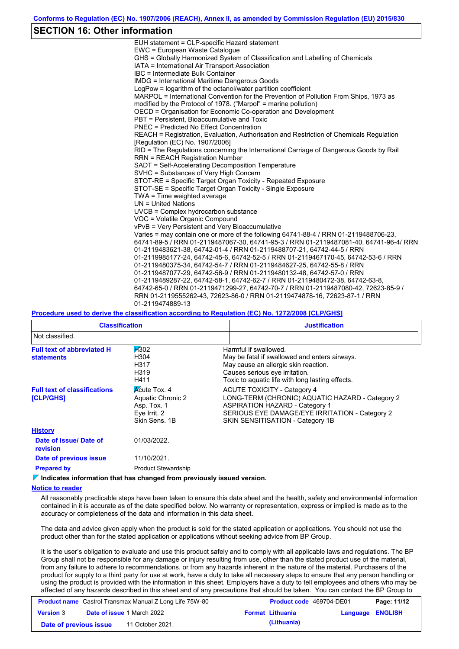### **SECTION 16: Other information**

| EUH statement = CLP-specific Hazard statement                                           |
|-----------------------------------------------------------------------------------------|
| EWC = European Waste Catalogue                                                          |
| GHS = Globally Harmonized System of Classification and Labelling of Chemicals           |
| IATA = International Air Transport Association                                          |
| IBC = Intermediate Bulk Container                                                       |
| <b>IMDG</b> = International Maritime Dangerous Goods                                    |
| LogPow = logarithm of the octanol/water partition coefficient                           |
| MARPOL = International Convention for the Prevention of Pollution From Ships, 1973 as   |
| modified by the Protocol of 1978. ("Marpol" = marine pollution)                         |
| OECD = Organisation for Economic Co-operation and Development                           |
| PBT = Persistent, Bioaccumulative and Toxic                                             |
| PNEC = Predicted No Effect Concentration                                                |
| REACH = Registration, Evaluation, Authorisation and Restriction of Chemicals Regulation |
| [Regulation (EC) No. 1907/2006]                                                         |
| RID = The Regulations concerning the International Carriage of Dangerous Goods by Rail  |
| <b>RRN = REACH Registration Number</b>                                                  |
| SADT = Self-Accelerating Decomposition Temperature                                      |
| SVHC = Substances of Very High Concern                                                  |
| STOT-RE = Specific Target Organ Toxicity - Repeated Exposure                            |
| STOT-SE = Specific Target Organ Toxicity - Single Exposure                              |
| TWA = Time weighted average                                                             |
| $UN = United Nations$                                                                   |
| UVCB = Complex hydrocarbon substance                                                    |
| VOC = Volatile Organic Compound                                                         |
| vPvB = Very Persistent and Very Bioaccumulative                                         |
| Varies = may contain one or more of the following 64741-88-4 / RRN 01-2119488706-23.    |
| 64741-89-5 / RRN 01-2119487067-30, 64741-95-3 / RRN 01-2119487081-40, 64741-96-4/ RRN   |
| 01-2119483621-38, 64742-01-4 / RRN 01-2119488707-21, 64742-44-5 / RRN                   |
| 01-2119985177-24, 64742-45-6, 64742-52-5 / RRN 01-2119467170-45, 64742-53-6 / RRN       |
| 01-2119480375-34, 64742-54-7 / RRN 01-2119484627-25, 64742-55-8 / RRN                   |
| 01-2119487077-29, 64742-56-9 / RRN 01-2119480132-48, 64742-57-0 / RRN                   |
| 01-2119489287-22, 64742-58-1, 64742-62-7 / RRN 01-2119480472-38, 64742-63-8,            |
| 64742-65-0 / RRN 01-2119471299-27, 64742-70-7 / RRN 01-2119487080-42, 72623-85-9 /      |
| RRN 01-2119555262-43, 72623-86-0 / RRN 01-2119474878-16, 72623-87-1 / RRN               |
| 01-2119474889-13                                                                        |

#### **Procedure used to derive the classification according to Regulation (EC) No. 1272/2008 [CLP/GHS]**

| <b>Classification</b>                                  |                                                                                          | <b>Justification</b>                                                                                                                                                                                                 |
|--------------------------------------------------------|------------------------------------------------------------------------------------------|----------------------------------------------------------------------------------------------------------------------------------------------------------------------------------------------------------------------|
| Not classified.                                        |                                                                                          |                                                                                                                                                                                                                      |
| <b>Full text of abbreviated H</b><br><b>statements</b> | $\cancel{100}$<br>H304<br>H317<br>H319<br>H411                                           | Harmful if swallowed.<br>May be fatal if swallowed and enters airways.<br>May cause an allergic skin reaction.<br>Causes serious eye irritation.<br>Toxic to aquatic life with long lasting effects.                 |
| <b>Full text of classifications</b><br>[CLP/GHS]       | <b>Acute Tox. 4</b><br>Aquatic Chronic 2<br>Asp. Tox. 1<br>Eye Irrit. 2<br>Skin Sens, 1B | <b>ACUTE TOXICITY - Category 4</b><br>LONG-TERM (CHRONIC) AQUATIC HAZARD - Category 2<br><b>ASPIRATION HAZARD - Category 1</b><br>SERIOUS EYE DAMAGE/EYE IRRITATION - Category 2<br>SKIN SENSITISATION - Category 1B |
| <b>History</b>                                         |                                                                                          |                                                                                                                                                                                                                      |
| Date of issue/Date of<br><b>revision</b>               | 01/03/2022.                                                                              |                                                                                                                                                                                                                      |
| Date of previous issue                                 | 11/10/2021.                                                                              |                                                                                                                                                                                                                      |
| <b>Prepared by</b>                                     | <b>Product Stewardship</b>                                                               |                                                                                                                                                                                                                      |

**Indicates information that has changed from previously issued version.**

#### **Notice to reader**

All reasonably practicable steps have been taken to ensure this data sheet and the health, safety and environmental information contained in it is accurate as of the date specified below. No warranty or representation, express or implied is made as to the accuracy or completeness of the data and information in this data sheet.

The data and advice given apply when the product is sold for the stated application or applications. You should not use the product other than for the stated application or applications without seeking advice from BP Group.

It is the user's obligation to evaluate and use this product safely and to comply with all applicable laws and regulations. The BP Group shall not be responsible for any damage or injury resulting from use, other than the stated product use of the material, from any failure to adhere to recommendations, or from any hazards inherent in the nature of the material. Purchasers of the product for supply to a third party for use at work, have a duty to take all necessary steps to ensure that any person handling or using the product is provided with the information in this sheet. Employers have a duty to tell employees and others who may be affected of any hazards described in this sheet and of any precautions that should be taken. You can contact the BP Group to

| <b>Product name</b> Castrol Transmax Manual Z Long Life 75W-80 |  |                                   | <b>Product code</b> 469704-DE01 | Page: 11/12             |                         |  |
|----------------------------------------------------------------|--|-----------------------------------|---------------------------------|-------------------------|-------------------------|--|
| <b>Version 3</b>                                               |  | <b>Date of issue 1 March 2022</b> |                                 | <b>Format Lithuania</b> | <b>Language ENGLISH</b> |  |
| Date of previous issue                                         |  | 11 October 2021.                  |                                 | (Lithuania)             |                         |  |